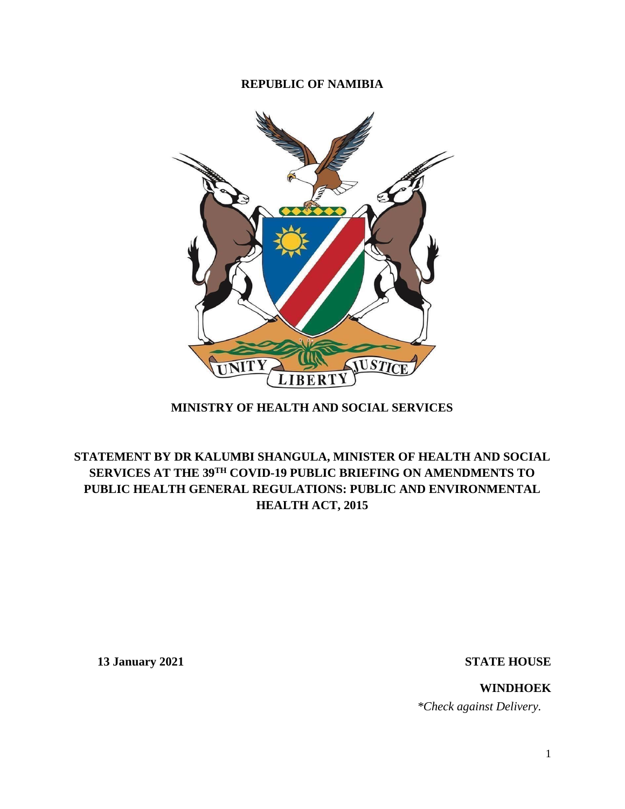## **REPUBLIC OF NAMIBIA**



# **MINISTRY OF HEALTH AND SOCIAL SERVICES**

# **STATEMENT BY DR KALUMBI SHANGULA, MINISTER OF HEALTH AND SOCIAL SERVICES AT THE 39TH COVID-19 PUBLIC BRIEFING ON AMENDMENTS TO PUBLIC HEALTH GENERAL REGULATIONS: PUBLIC AND ENVIRONMENTAL HEALTH ACT, 2015**

**13 January 2021 STATE HOUSE**

**WINDHOEK**  *\*Check against Delivery.*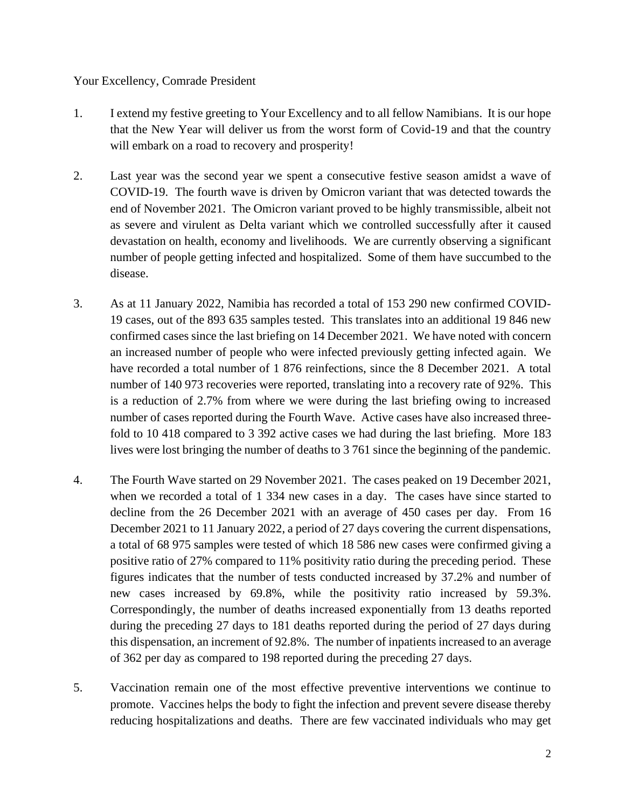## Your Excellency, Comrade President

- 1. I extend my festive greeting to Your Excellency and to all fellow Namibians. It is our hope that the New Year will deliver us from the worst form of Covid-19 and that the country will embark on a road to recovery and prosperity!
- 2. Last year was the second year we spent a consecutive festive season amidst a wave of COVID-19. The fourth wave is driven by Omicron variant that was detected towards the end of November 2021. The Omicron variant proved to be highly transmissible, albeit not as severe and virulent as Delta variant which we controlled successfully after it caused devastation on health, economy and livelihoods. We are currently observing a significant number of people getting infected and hospitalized. Some of them have succumbed to the disease.
- 3. As at 11 January 2022, Namibia has recorded a total of 153 290 new confirmed COVID-19 cases, out of the 893 635 samples tested. This translates into an additional 19 846 new confirmed cases since the last briefing on 14 December 2021. We have noted with concern an increased number of people who were infected previously getting infected again. We have recorded a total number of 1 876 reinfections, since the 8 December 2021. A total number of 140 973 recoveries were reported, translating into a recovery rate of 92%. This is a reduction of 2.7% from where we were during the last briefing owing to increased number of cases reported during the Fourth Wave. Active cases have also increased threefold to 10 418 compared to 3 392 active cases we had during the last briefing. More 183 lives were lost bringing the number of deaths to 3 761 since the beginning of the pandemic.
- 4. The Fourth Wave started on 29 November 2021. The cases peaked on 19 December 2021, when we recorded a total of 1 334 new cases in a day. The cases have since started to decline from the 26 December 2021 with an average of 450 cases per day. From 16 December 2021 to 11 January 2022, a period of 27 days covering the current dispensations, a total of 68 975 samples were tested of which 18 586 new cases were confirmed giving a positive ratio of 27% compared to 11% positivity ratio during the preceding period. These figures indicates that the number of tests conducted increased by 37.2% and number of new cases increased by 69.8%, while the positivity ratio increased by 59.3%. Correspondingly, the number of deaths increased exponentially from 13 deaths reported during the preceding 27 days to 181 deaths reported during the period of 27 days during this dispensation, an increment of 92.8%. The number of inpatients increased to an average of 362 per day as compared to 198 reported during the preceding 27 days.
- 5. Vaccination remain one of the most effective preventive interventions we continue to promote. Vaccines helps the body to fight the infection and prevent severe disease thereby reducing hospitalizations and deaths. There are few vaccinated individuals who may get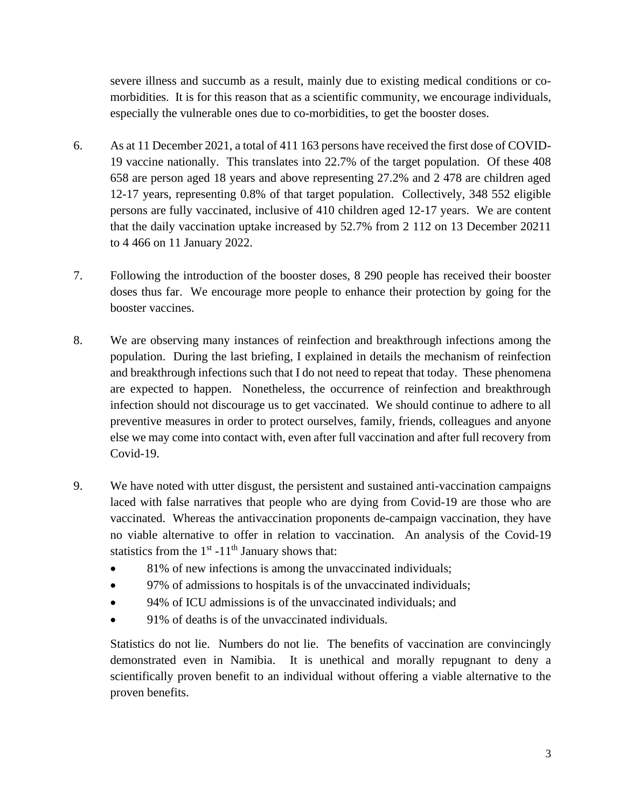severe illness and succumb as a result, mainly due to existing medical conditions or comorbidities. It is for this reason that as a scientific community, we encourage individuals, especially the vulnerable ones due to co-morbidities, to get the booster doses.

- 6. As at 11 December 2021, a total of 411 163 persons have received the first dose of COVID-19 vaccine nationally. This translates into 22.7% of the target population. Of these 408 658 are person aged 18 years and above representing 27.2% and 2 478 are children aged 12-17 years, representing 0.8% of that target population. Collectively, 348 552 eligible persons are fully vaccinated, inclusive of 410 children aged 12-17 years. We are content that the daily vaccination uptake increased by 52.7% from 2 112 on 13 December 20211 to 4 466 on 11 January 2022.
- 7. Following the introduction of the booster doses, 8 290 people has received their booster doses thus far. We encourage more people to enhance their protection by going for the booster vaccines.
- 8. We are observing many instances of reinfection and breakthrough infections among the population. During the last briefing, I explained in details the mechanism of reinfection and breakthrough infections such that I do not need to repeat that today. These phenomena are expected to happen. Nonetheless, the occurrence of reinfection and breakthrough infection should not discourage us to get vaccinated. We should continue to adhere to all preventive measures in order to protect ourselves, family, friends, colleagues and anyone else we may come into contact with, even after full vaccination and after full recovery from Covid-19.
- 9. We have noted with utter disgust, the persistent and sustained anti-vaccination campaigns laced with false narratives that people who are dying from Covid-19 are those who are vaccinated. Whereas the antivaccination proponents de-campaign vaccination, they have no viable alternative to offer in relation to vaccination. An analysis of the Covid-19 statistics from the  $1<sup>st</sup> - 11<sup>th</sup>$  January shows that:
	- 81% of new infections is among the unvaccinated individuals;
	- 97% of admissions to hospitals is of the unvaccinated individuals;
	- 94% of ICU admissions is of the unvaccinated individuals; and
	- 91% of deaths is of the unvaccinated individuals.

Statistics do not lie. Numbers do not lie. The benefits of vaccination are convincingly demonstrated even in Namibia. It is unethical and morally repugnant to deny a scientifically proven benefit to an individual without offering a viable alternative to the proven benefits.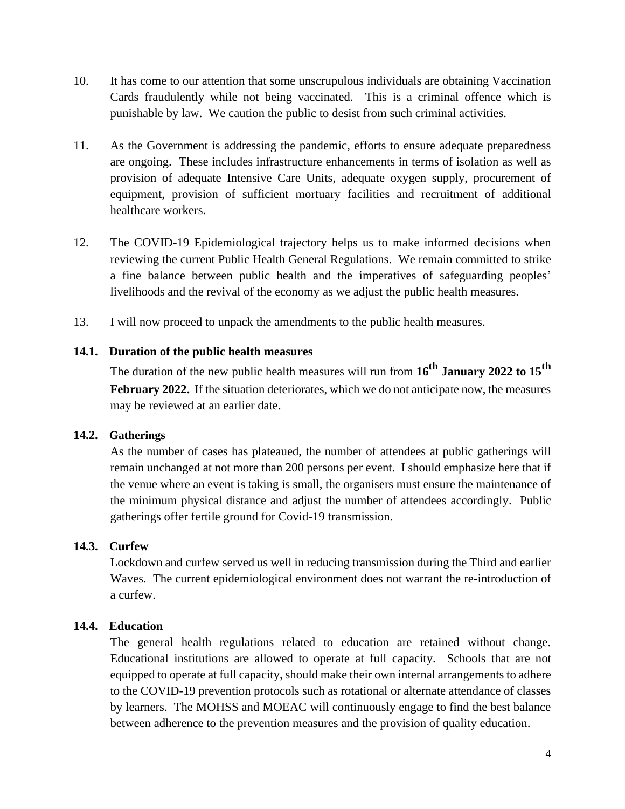- 10. It has come to our attention that some unscrupulous individuals are obtaining Vaccination Cards fraudulently while not being vaccinated. This is a criminal offence which is punishable by law. We caution the public to desist from such criminal activities.
- 11. As the Government is addressing the pandemic, efforts to ensure adequate preparedness are ongoing. These includes infrastructure enhancements in terms of isolation as well as provision of adequate Intensive Care Units, adequate oxygen supply, procurement of equipment, provision of sufficient mortuary facilities and recruitment of additional healthcare workers.
- 12. The COVID-19 Epidemiological trajectory helps us to make informed decisions when reviewing the current Public Health General Regulations. We remain committed to strike a fine balance between public health and the imperatives of safeguarding peoples' livelihoods and the revival of the economy as we adjust the public health measures.
- 13. I will now proceed to unpack the amendments to the public health measures.

# **14.1. Duration of the public health measures**

The duration of the new public health measures will run from **16th January 2022 to 15th February 2022.** If the situation deteriorates, which we do not anticipate now, the measures may be reviewed at an earlier date.

# **14.2. Gatherings**

As the number of cases has plateaued, the number of attendees at public gatherings will remain unchanged at not more than 200 persons per event. I should emphasize here that if the venue where an event is taking is small, the organisers must ensure the maintenance of the minimum physical distance and adjust the number of attendees accordingly. Public gatherings offer fertile ground for Covid-19 transmission.

# **14.3. Curfew**

Lockdown and curfew served us well in reducing transmission during the Third and earlier Waves. The current epidemiological environment does not warrant the re-introduction of a curfew.

### **14.4. Education**

The general health regulations related to education are retained without change. Educational institutions are allowed to operate at full capacity. Schools that are not equipped to operate at full capacity, should make their own internal arrangements to adhere to the COVID-19 prevention protocols such as rotational or alternate attendance of classes by learners. The MOHSS and MOEAC will continuously engage to find the best balance between adherence to the prevention measures and the provision of quality education.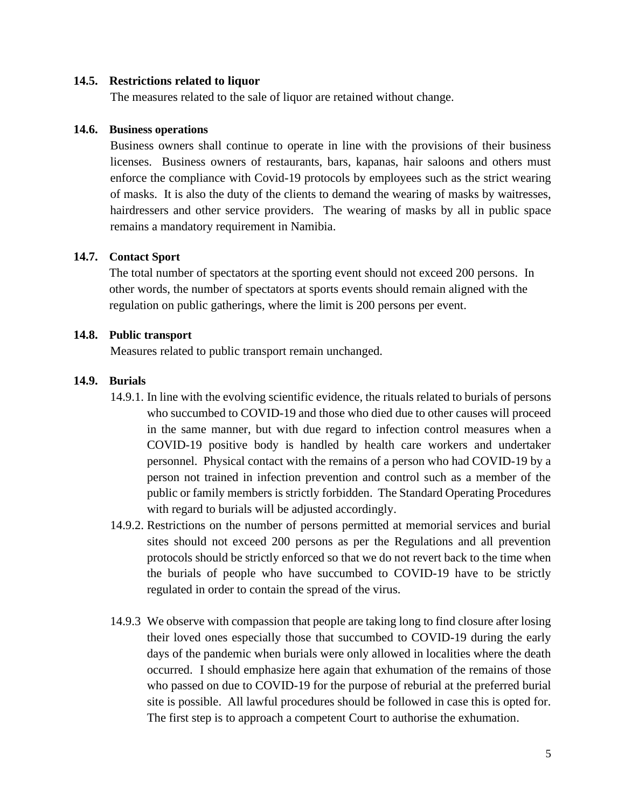#### **14.5. Restrictions related to liquor**

The measures related to the sale of liquor are retained without change.

#### **14.6. Business operations**

Business owners shall continue to operate in line with the provisions of their business licenses. Business owners of restaurants, bars, kapanas, hair saloons and others must enforce the compliance with Covid-19 protocols by employees such as the strict wearing of masks. It is also the duty of the clients to demand the wearing of masks by waitresses, hairdressers and other service providers. The wearing of masks by all in public space remains a mandatory requirement in Namibia.

#### **14.7. Contact Sport**

The total number of spectators at the sporting event should not exceed 200 persons. In other words, the number of spectators at sports events should remain aligned with the regulation on public gatherings, where the limit is 200 persons per event.

#### **14.8. Public transport**

Measures related to public transport remain unchanged.

#### **14.9. Burials**

- 14.9.1. In line with the evolving scientific evidence, the rituals related to burials of persons who succumbed to COVID-19 and those who died due to other causes will proceed in the same manner, but with due regard to infection control measures when a COVID-19 positive body is handled by health care workers and undertaker personnel. Physical contact with the remains of a person who had COVID-19 by a person not trained in infection prevention and control such as a member of the public or family members is strictly forbidden. The Standard Operating Procedures with regard to burials will be adjusted accordingly.
- 14.9.2. Restrictions on the number of persons permitted at memorial services and burial sites should not exceed 200 persons as per the Regulations and all prevention protocols should be strictly enforced so that we do not revert back to the time when the burials of people who have succumbed to COVID-19 have to be strictly regulated in order to contain the spread of the virus.
- 14.9.3 We observe with compassion that people are taking long to find closure after losing their loved ones especially those that succumbed to COVID-19 during the early days of the pandemic when burials were only allowed in localities where the death occurred. I should emphasize here again that exhumation of the remains of those who passed on due to COVID-19 for the purpose of reburial at the preferred burial site is possible. All lawful procedures should be followed in case this is opted for. The first step is to approach a competent Court to authorise the exhumation.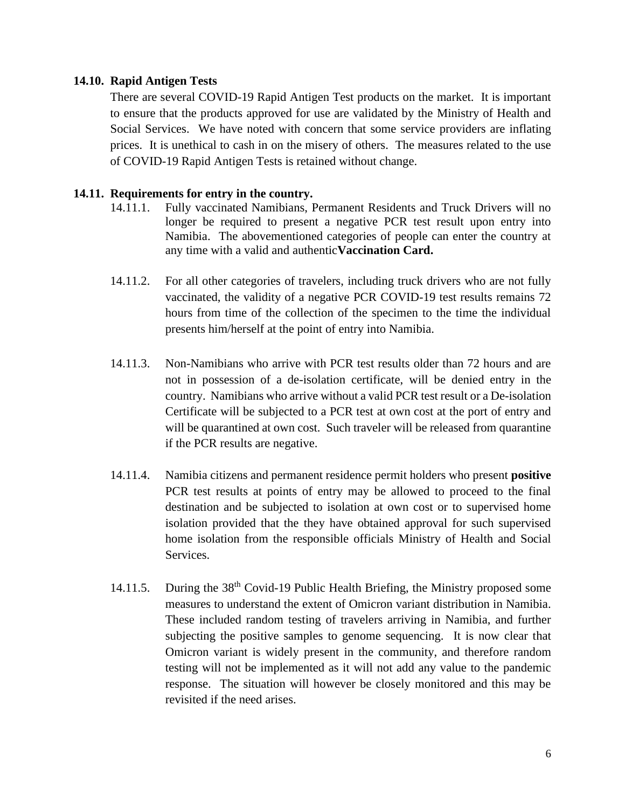### **14.10. Rapid Antigen Tests**

There are several COVID-19 Rapid Antigen Test products on the market. It is important to ensure that the products approved for use are validated by the Ministry of Health and Social Services. We have noted with concern that some service providers are inflating prices. It is unethical to cash in on the misery of others. The measures related to the use of COVID-19 Rapid Antigen Tests is retained without change.

## **14.11. Requirements for entry in the country.**

- 14.11.1. Fully vaccinated Namibians, Permanent Residents and Truck Drivers will no longer be required to present a negative PCR test result upon entry into Namibia. The abovementioned categories of people can enter the country at any time with a valid and authentic**Vaccination Card.**
- 14.11.2. For all other categories of travelers, including truck drivers who are not fully vaccinated, the validity of a negative PCR COVID-19 test results remains 72 hours from time of the collection of the specimen to the time the individual presents him/herself at the point of entry into Namibia.
- 14.11.3. Non-Namibians who arrive with PCR test results older than 72 hours and are not in possession of a de-isolation certificate, will be denied entry in the country. Namibians who arrive without a valid PCR test result or a De-isolation Certificate will be subjected to a PCR test at own cost at the port of entry and will be quarantined at own cost. Such traveler will be released from quarantine if the PCR results are negative.
- 14.11.4. Namibia citizens and permanent residence permit holders who present **positive** PCR test results at points of entry may be allowed to proceed to the final destination and be subjected to isolation at own cost or to supervised home isolation provided that the they have obtained approval for such supervised home isolation from the responsible officials Ministry of Health and Social Services.
- 14.11.5. During the 38<sup>th</sup> Covid-19 Public Health Briefing, the Ministry proposed some measures to understand the extent of Omicron variant distribution in Namibia. These included random testing of travelers arriving in Namibia, and further subjecting the positive samples to genome sequencing. It is now clear that Omicron variant is widely present in the community, and therefore random testing will not be implemented as it will not add any value to the pandemic response. The situation will however be closely monitored and this may be revisited if the need arises.